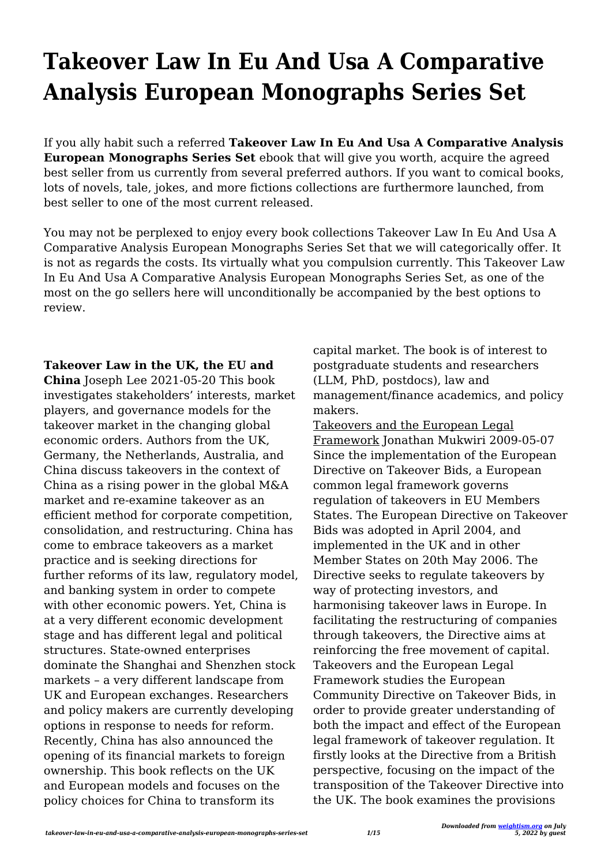# **Takeover Law In Eu And Usa A Comparative Analysis European Monographs Series Set**

If you ally habit such a referred **Takeover Law In Eu And Usa A Comparative Analysis European Monographs Series Set** ebook that will give you worth, acquire the agreed best seller from us currently from several preferred authors. If you want to comical books, lots of novels, tale, jokes, and more fictions collections are furthermore launched, from best seller to one of the most current released.

You may not be perplexed to enjoy every book collections Takeover Law In Eu And Usa A Comparative Analysis European Monographs Series Set that we will categorically offer. It is not as regards the costs. Its virtually what you compulsion currently. This Takeover Law In Eu And Usa A Comparative Analysis European Monographs Series Set, as one of the most on the go sellers here will unconditionally be accompanied by the best options to review.

### **Takeover Law in the UK, the EU and**

**China** Joseph Lee 2021-05-20 This book investigates stakeholders' interests, market players, and governance models for the takeover market in the changing global economic orders. Authors from the UK, Germany, the Netherlands, Australia, and China discuss takeovers in the context of China as a rising power in the global M&A market and re-examine takeover as an efficient method for corporate competition, consolidation, and restructuring. China has come to embrace takeovers as a market practice and is seeking directions for further reforms of its law, regulatory model, and banking system in order to compete with other economic powers. Yet, China is at a very different economic development stage and has different legal and political structures. State-owned enterprises dominate the Shanghai and Shenzhen stock markets – a very different landscape from UK and European exchanges. Researchers and policy makers are currently developing options in response to needs for reform. Recently, China has also announced the opening of its financial markets to foreign ownership. This book reflects on the UK and European models and focuses on the policy choices for China to transform its

capital market. The book is of interest to postgraduate students and researchers (LLM, PhD, postdocs), law and management/finance academics, and policy makers.

Takeovers and the European Legal Framework Jonathan Mukwiri 2009-05-07 Since the implementation of the European Directive on Takeover Bids, a European common legal framework governs regulation of takeovers in EU Members States. The European Directive on Takeover Bids was adopted in April 2004, and implemented in the UK and in other Member States on 20th May 2006. The Directive seeks to regulate takeovers by way of protecting investors, and harmonising takeover laws in Europe. In facilitating the restructuring of companies through takeovers, the Directive aims at reinforcing the free movement of capital. Takeovers and the European Legal Framework studies the European Community Directive on Takeover Bids, in order to provide greater understanding of both the impact and effect of the European legal framework of takeover regulation. It firstly looks at the Directive from a British perspective, focusing on the impact of the transposition of the Takeover Directive into the UK. The book examines the provisions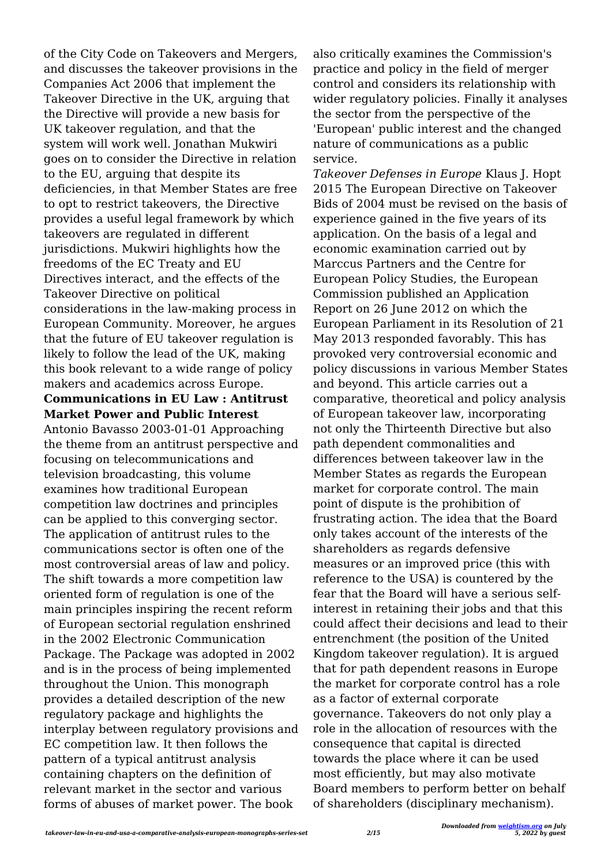of the City Code on Takeovers and Mergers, and discusses the takeover provisions in the Companies Act 2006 that implement the Takeover Directive in the UK, arguing that the Directive will provide a new basis for UK takeover regulation, and that the system will work well. Jonathan Mukwiri goes on to consider the Directive in relation to the EU, arguing that despite its deficiencies, in that Member States are free to opt to restrict takeovers, the Directive provides a useful legal framework by which takeovers are regulated in different jurisdictions. Mukwiri highlights how the freedoms of the EC Treaty and EU Directives interact, and the effects of the Takeover Directive on political considerations in the law-making process in European Community. Moreover, he argues that the future of EU takeover regulation is likely to follow the lead of the UK, making this book relevant to a wide range of policy makers and academics across Europe. **Communications in EU Law : Antitrust**

## **Market Power and Public Interest**

Antonio Bavasso 2003-01-01 Approaching the theme from an antitrust perspective and focusing on telecommunications and television broadcasting, this volume examines how traditional European competition law doctrines and principles can be applied to this converging sector. The application of antitrust rules to the communications sector is often one of the most controversial areas of law and policy. The shift towards a more competition law oriented form of regulation is one of the main principles inspiring the recent reform of European sectorial regulation enshrined in the 2002 Electronic Communication Package. The Package was adopted in 2002 and is in the process of being implemented throughout the Union. This monograph provides a detailed description of the new regulatory package and highlights the interplay between regulatory provisions and EC competition law. It then follows the pattern of a typical antitrust analysis containing chapters on the definition of relevant market in the sector and various forms of abuses of market power. The book

also critically examines the Commission's practice and policy in the field of merger control and considers its relationship with wider regulatory policies. Finally it analyses the sector from the perspective of the 'European' public interest and the changed nature of communications as a public service.

*Takeover Defenses in Europe* Klaus J. Hopt 2015 The European Directive on Takeover Bids of 2004 must be revised on the basis of experience gained in the five years of its application. On the basis of a legal and economic examination carried out by Marccus Partners and the Centre for European Policy Studies, the European Commission published an Application Report on 26 June 2012 on which the European Parliament in its Resolution of 21 May 2013 responded favorably. This has provoked very controversial economic and policy discussions in various Member States and beyond. This article carries out a comparative, theoretical and policy analysis of European takeover law, incorporating not only the Thirteenth Directive but also path dependent commonalities and differences between takeover law in the Member States as regards the European market for corporate control. The main point of dispute is the prohibition of frustrating action. The idea that the Board only takes account of the interests of the shareholders as regards defensive measures or an improved price (this with reference to the USA) is countered by the fear that the Board will have a serious selfinterest in retaining their jobs and that this could affect their decisions and lead to their entrenchment (the position of the United Kingdom takeover regulation). It is argued that for path dependent reasons in Europe the market for corporate control has a role as a factor of external corporate governance. Takeovers do not only play a role in the allocation of resources with the consequence that capital is directed towards the place where it can be used most efficiently, but may also motivate Board members to perform better on behalf of shareholders (disciplinary mechanism).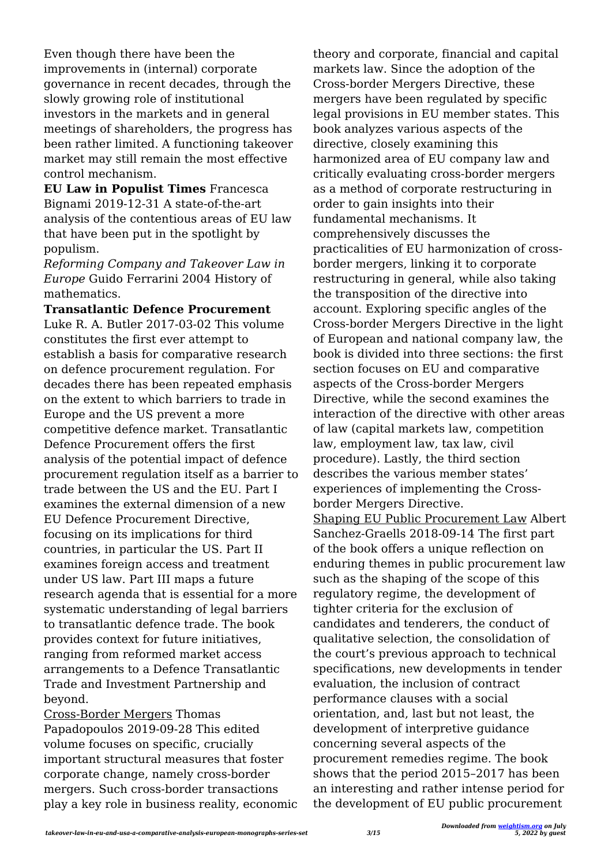Even though there have been the improvements in (internal) corporate governance in recent decades, through the slowly growing role of institutional investors in the markets and in general meetings of shareholders, the progress has been rather limited. A functioning takeover market may still remain the most effective control mechanism.

**EU Law in Populist Times** Francesca Bignami 2019-12-31 A state-of-the-art analysis of the contentious areas of EU law that have been put in the spotlight by populism.

*Reforming Company and Takeover Law in Europe* Guido Ferrarini 2004 History of mathematics.

**Transatlantic Defence Procurement** Luke R. A. Butler 2017-03-02 This volume constitutes the first ever attempt to establish a basis for comparative research on defence procurement regulation. For decades there has been repeated emphasis on the extent to which barriers to trade in Europe and the US prevent a more competitive defence market. Transatlantic Defence Procurement offers the first analysis of the potential impact of defence procurement regulation itself as a barrier to trade between the US and the EU. Part I examines the external dimension of a new EU Defence Procurement Directive, focusing on its implications for third countries, in particular the US. Part II examines foreign access and treatment under US law. Part III maps a future research agenda that is essential for a more systematic understanding of legal barriers to transatlantic defence trade. The book provides context for future initiatives, ranging from reformed market access arrangements to a Defence Transatlantic Trade and Investment Partnership and beyond.

Cross-Border Mergers Thomas Papadopoulos 2019-09-28 This edited volume focuses on specific, crucially important structural measures that foster corporate change, namely cross-border mergers. Such cross-border transactions play a key role in business reality, economic theory and corporate, financial and capital markets law. Since the adoption of the Cross-border Mergers Directive, these mergers have been regulated by specific legal provisions in EU member states. This book analyzes various aspects of the directive, closely examining this harmonized area of EU company law and critically evaluating cross-border mergers as a method of corporate restructuring in order to gain insights into their fundamental mechanisms. It comprehensively discusses the practicalities of EU harmonization of crossborder mergers, linking it to corporate restructuring in general, while also taking the transposition of the directive into account. Exploring specific angles of the Cross-border Mergers Directive in the light of European and national company law, the book is divided into three sections: the first section focuses on EU and comparative aspects of the Cross-border Mergers Directive, while the second examines the interaction of the directive with other areas of law (capital markets law, competition law, employment law, tax law, civil procedure). Lastly, the third section describes the various member states' experiences of implementing the Crossborder Mergers Directive. Shaping EU Public Procurement Law Albert Sanchez-Graells 2018-09-14 The first part of the book offers a unique reflection on such as the shaping of the scope of this

enduring themes in public procurement law regulatory regime, the development of tighter criteria for the exclusion of candidates and tenderers, the conduct of qualitative selection, the consolidation of the court's previous approach to technical specifications, new developments in tender evaluation, the inclusion of contract performance clauses with a social orientation, and, last but not least, the development of interpretive guidance concerning several aspects of the procurement remedies regime. The book shows that the period 2015–2017 has been an interesting and rather intense period for the development of EU public procurement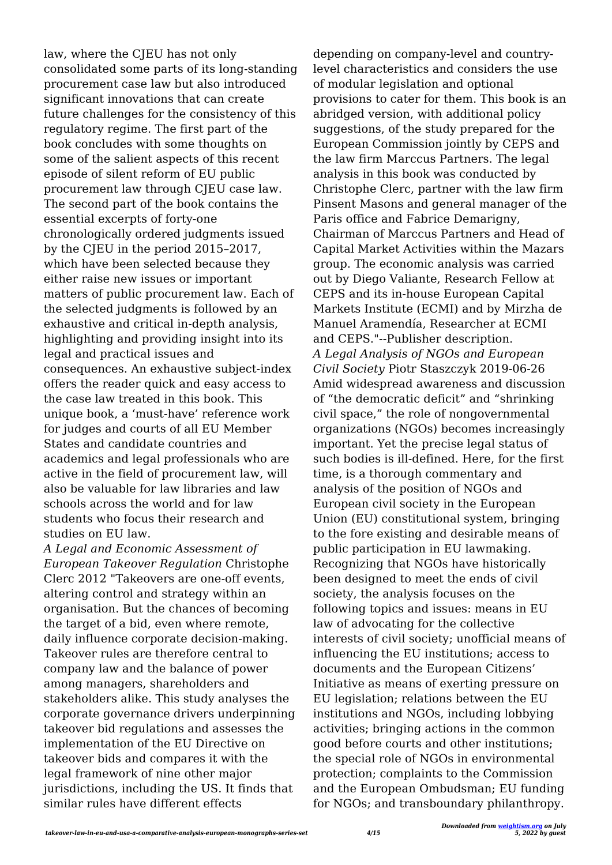law, where the CJEU has not only consolidated some parts of its long-standing procurement case law but also introduced significant innovations that can create future challenges for the consistency of this regulatory regime. The first part of the book concludes with some thoughts on some of the salient aspects of this recent episode of silent reform of EU public procurement law through CJEU case law. The second part of the book contains the essential excerpts of forty-one chronologically ordered judgments issued by the CJEU in the period 2015–2017, which have been selected because they either raise new issues or important matters of public procurement law. Each of the selected judgments is followed by an exhaustive and critical in-depth analysis, highlighting and providing insight into its legal and practical issues and consequences. An exhaustive subject-index offers the reader quick and easy access to the case law treated in this book. This unique book, a 'must-have' reference work for judges and courts of all EU Member States and candidate countries and academics and legal professionals who are active in the field of procurement law, will also be valuable for law libraries and law schools across the world and for law students who focus their research and studies on EU law.

*A Legal and Economic Assessment of European Takeover Regulation* Christophe Clerc 2012 "Takeovers are one-off events, altering control and strategy within an organisation. But the chances of becoming the target of a bid, even where remote, daily influence corporate decision-making. Takeover rules are therefore central to company law and the balance of power among managers, shareholders and stakeholders alike. This study analyses the corporate governance drivers underpinning takeover bid regulations and assesses the implementation of the EU Directive on takeover bids and compares it with the legal framework of nine other major jurisdictions, including the US. It finds that similar rules have different effects

depending on company-level and countrylevel characteristics and considers the use of modular legislation and optional provisions to cater for them. This book is an abridged version, with additional policy suggestions, of the study prepared for the European Commission jointly by CEPS and the law firm Marccus Partners. The legal analysis in this book was conducted by Christophe Clerc, partner with the law firm Pinsent Masons and general manager of the Paris office and Fabrice Demarigny, Chairman of Marccus Partners and Head of Capital Market Activities within the Mazars group. The economic analysis was carried out by Diego Valiante, Research Fellow at CEPS and its in-house European Capital Markets Institute (ECMI) and by Mirzha de Manuel Aramendía, Researcher at ECMI and CEPS."--Publisher description. *A Legal Analysis of NGOs and European Civil Society* Piotr Staszczyk 2019-06-26 Amid widespread awareness and discussion of "the democratic deficit" and "shrinking civil space," the role of nongovernmental organizations (NGOs) becomes increasingly important. Yet the precise legal status of such bodies is ill-defined. Here, for the first time, is a thorough commentary and analysis of the position of NGOs and European civil society in the European Union (EU) constitutional system, bringing to the fore existing and desirable means of public participation in EU lawmaking. Recognizing that NGOs have historically been designed to meet the ends of civil society, the analysis focuses on the following topics and issues: means in EU law of advocating for the collective interests of civil society; unofficial means of influencing the EU institutions; access to documents and the European Citizens' Initiative as means of exerting pressure on EU legislation; relations between the EU institutions and NGOs, including lobbying activities; bringing actions in the common good before courts and other institutions; the special role of NGOs in environmental protection; complaints to the Commission and the European Ombudsman; EU funding for NGOs; and transboundary philanthropy.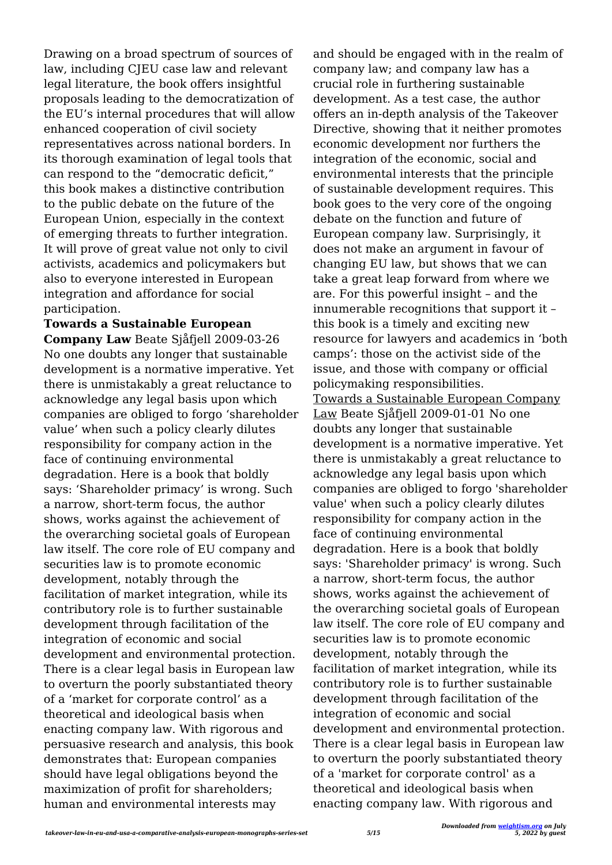Drawing on a broad spectrum of sources of law, including CJEU case law and relevant legal literature, the book offers insightful proposals leading to the democratization of the EU's internal procedures that will allow enhanced cooperation of civil society representatives across national borders. In its thorough examination of legal tools that can respond to the "democratic deficit," this book makes a distinctive contribution to the public debate on the future of the European Union, especially in the context of emerging threats to further integration. It will prove of great value not only to civil activists, academics and policymakers but also to everyone interested in European integration and affordance for social participation.

**Towards a Sustainable European Company Law** Beate Sjåfjell 2009-03-26 No one doubts any longer that sustainable development is a normative imperative. Yet there is unmistakably a great reluctance to acknowledge any legal basis upon which companies are obliged to forgo 'shareholder value' when such a policy clearly dilutes responsibility for company action in the face of continuing environmental degradation. Here is a book that boldly says: 'Shareholder primacy' is wrong. Such a narrow, short-term focus, the author shows, works against the achievement of the overarching societal goals of European law itself. The core role of EU company and securities law is to promote economic development, notably through the facilitation of market integration, while its contributory role is to further sustainable development through facilitation of the integration of economic and social development and environmental protection. There is a clear legal basis in European law to overturn the poorly substantiated theory of a 'market for corporate control' as a theoretical and ideological basis when enacting company law. With rigorous and persuasive research and analysis, this book demonstrates that: European companies should have legal obligations beyond the maximization of profit for shareholders; human and environmental interests may

and should be engaged with in the realm of company law; and company law has a crucial role in furthering sustainable development. As a test case, the author offers an in-depth analysis of the Takeover Directive, showing that it neither promotes economic development nor furthers the integration of the economic, social and environmental interests that the principle of sustainable development requires. This book goes to the very core of the ongoing debate on the function and future of European company law. Surprisingly, it does not make an argument in favour of changing EU law, but shows that we can take a great leap forward from where we are. For this powerful insight – and the innumerable recognitions that support it – this book is a timely and exciting new resource for lawyers and academics in 'both camps': those on the activist side of the issue, and those with company or official policymaking responsibilities. Towards a Sustainable European Company Law Beate Sjåfjell 2009-01-01 No one doubts any longer that sustainable development is a normative imperative. Yet there is unmistakably a great reluctance to acknowledge any legal basis upon which companies are obliged to forgo 'shareholder value' when such a policy clearly dilutes responsibility for company action in the face of continuing environmental degradation. Here is a book that boldly says: 'Shareholder primacy' is wrong. Such a narrow, short-term focus, the author shows, works against the achievement of the overarching societal goals of European law itself. The core role of EU company and securities law is to promote economic development, notably through the facilitation of market integration, while its contributory role is to further sustainable development through facilitation of the integration of economic and social development and environmental protection. There is a clear legal basis in European law to overturn the poorly substantiated theory of a 'market for corporate control' as a theoretical and ideological basis when enacting company law. With rigorous and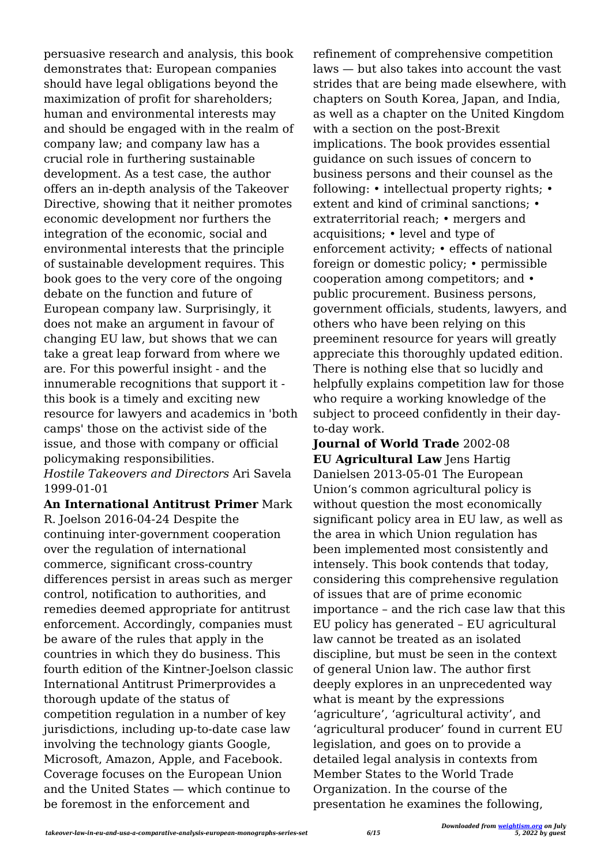persuasive research and analysis, this book demonstrates that: European companies should have legal obligations beyond the maximization of profit for shareholders; human and environmental interests may and should be engaged with in the realm of company law; and company law has a crucial role in furthering sustainable development. As a test case, the author offers an in-depth analysis of the Takeover Directive, showing that it neither promotes economic development nor furthers the integration of the economic, social and environmental interests that the principle of sustainable development requires. This book goes to the very core of the ongoing debate on the function and future of European company law. Surprisingly, it does not make an argument in favour of changing EU law, but shows that we can take a great leap forward from where we are. For this powerful insight - and the innumerable recognitions that support it this book is a timely and exciting new resource for lawyers and academics in 'both camps' those on the activist side of the issue, and those with company or official policymaking responsibilities.

#### *Hostile Takeovers and Directors* Ari Savela 1999-01-01

**An International Antitrust Primer** Mark R. Joelson 2016-04-24 Despite the continuing inter-government cooperation over the regulation of international commerce, significant cross-country differences persist in areas such as merger control, notification to authorities, and remedies deemed appropriate for antitrust enforcement. Accordingly, companies must be aware of the rules that apply in the countries in which they do business. This fourth edition of the Kintner-Joelson classic International Antitrust Primerprovides a thorough update of the status of competition regulation in a number of key jurisdictions, including up-to-date case law involving the technology giants Google, Microsoft, Amazon, Apple, and Facebook. Coverage focuses on the European Union and the United States — which continue to be foremost in the enforcement and

refinement of comprehensive competition laws — but also takes into account the vast strides that are being made elsewhere, with chapters on South Korea, Japan, and India, as well as a chapter on the United Kingdom with a section on the post-Brexit implications. The book provides essential guidance on such issues of concern to business persons and their counsel as the following: • intellectual property rights; • extent and kind of criminal sanctions; • extraterritorial reach; • mergers and acquisitions; • level and type of enforcement activity; • effects of national foreign or domestic policy; • permissible cooperation among competitors; and • public procurement. Business persons, government officials, students, lawyers, and others who have been relying on this preeminent resource for years will greatly appreciate this thoroughly updated edition. There is nothing else that so lucidly and helpfully explains competition law for those who require a working knowledge of the subject to proceed confidently in their dayto-day work.

**Journal of World Trade** 2002-08 **EU Agricultural Law** Jens Hartig Danielsen 2013-05-01 The European Union's common agricultural policy is without question the most economically significant policy area in EU law, as well as the area in which Union regulation has been implemented most consistently and intensely. This book contends that today, considering this comprehensive regulation of issues that are of prime economic importance – and the rich case law that this EU policy has generated – EU agricultural law cannot be treated as an isolated discipline, but must be seen in the context of general Union law. The author first deeply explores in an unprecedented way what is meant by the expressions 'agriculture', 'agricultural activity', and 'agricultural producer' found in current EU legislation, and goes on to provide a detailed legal analysis in contexts from Member States to the World Trade Organization. In the course of the presentation he examines the following,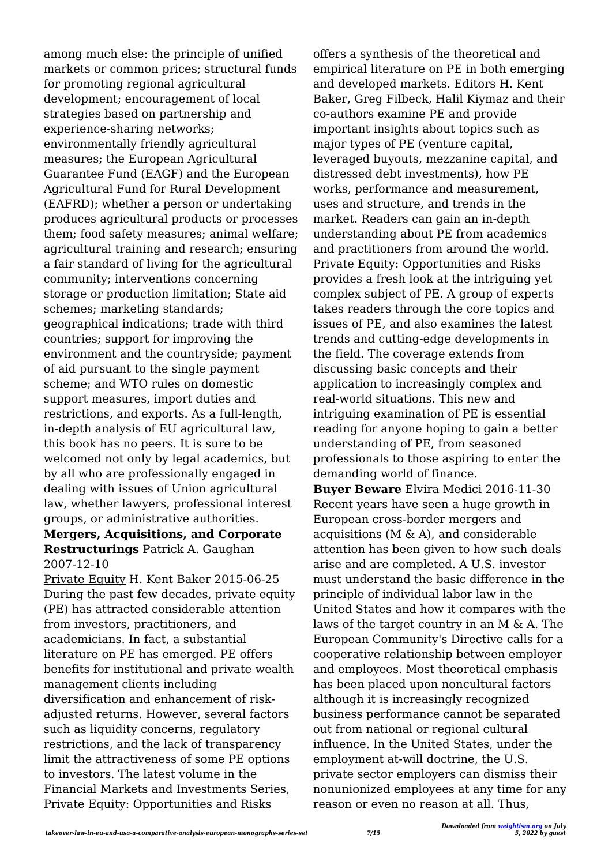among much else: the principle of unified markets or common prices; structural funds for promoting regional agricultural development; encouragement of local strategies based on partnership and experience-sharing networks; environmentally friendly agricultural measures; the European Agricultural Guarantee Fund (EAGF) and the European Agricultural Fund for Rural Development (EAFRD); whether a person or undertaking produces agricultural products or processes them; food safety measures; animal welfare; agricultural training and research; ensuring a fair standard of living for the agricultural community; interventions concerning storage or production limitation; State aid schemes; marketing standards; geographical indications; trade with third countries; support for improving the environment and the countryside; payment of aid pursuant to the single payment scheme; and WTO rules on domestic support measures, import duties and restrictions, and exports. As a full-length, in-depth analysis of EU agricultural law, this book has no peers. It is sure to be welcomed not only by legal academics, but by all who are professionally engaged in dealing with issues of Union agricultural law, whether lawyers, professional interest groups, or administrative authorities.

#### **Mergers, Acquisitions, and Corporate Restructurings** Patrick A. Gaughan 2007-12-10

Private Equity H. Kent Baker 2015-06-25 During the past few decades, private equity (PE) has attracted considerable attention from investors, practitioners, and academicians. In fact, a substantial literature on PE has emerged. PE offers benefits for institutional and private wealth management clients including diversification and enhancement of riskadjusted returns. However, several factors such as liquidity concerns, regulatory restrictions, and the lack of transparency limit the attractiveness of some PE options to investors. The latest volume in the Financial Markets and Investments Series, Private Equity: Opportunities and Risks

offers a synthesis of the theoretical and empirical literature on PE in both emerging and developed markets. Editors H. Kent Baker, Greg Filbeck, Halil Kiymaz and their co-authors examine PE and provide important insights about topics such as major types of PE (venture capital, leveraged buyouts, mezzanine capital, and distressed debt investments), how PE works, performance and measurement, uses and structure, and trends in the market. Readers can gain an in-depth understanding about PE from academics and practitioners from around the world. Private Equity: Opportunities and Risks provides a fresh look at the intriguing yet complex subject of PE. A group of experts takes readers through the core topics and issues of PE, and also examines the latest trends and cutting-edge developments in the field. The coverage extends from discussing basic concepts and their application to increasingly complex and real-world situations. This new and intriguing examination of PE is essential reading for anyone hoping to gain a better understanding of PE, from seasoned professionals to those aspiring to enter the demanding world of finance.

**Buyer Beware** Elvira Medici 2016-11-30 Recent years have seen a huge growth in European cross-border mergers and acquisitions (M & A), and considerable attention has been given to how such deals arise and are completed. A U.S. investor must understand the basic difference in the principle of individual labor law in the United States and how it compares with the laws of the target country in an M & A. The European Community's Directive calls for a cooperative relationship between employer and employees. Most theoretical emphasis has been placed upon noncultural factors although it is increasingly recognized business performance cannot be separated out from national or regional cultural influence. In the United States, under the employment at-will doctrine, the U.S. private sector employers can dismiss their nonunionized employees at any time for any reason or even no reason at all. Thus,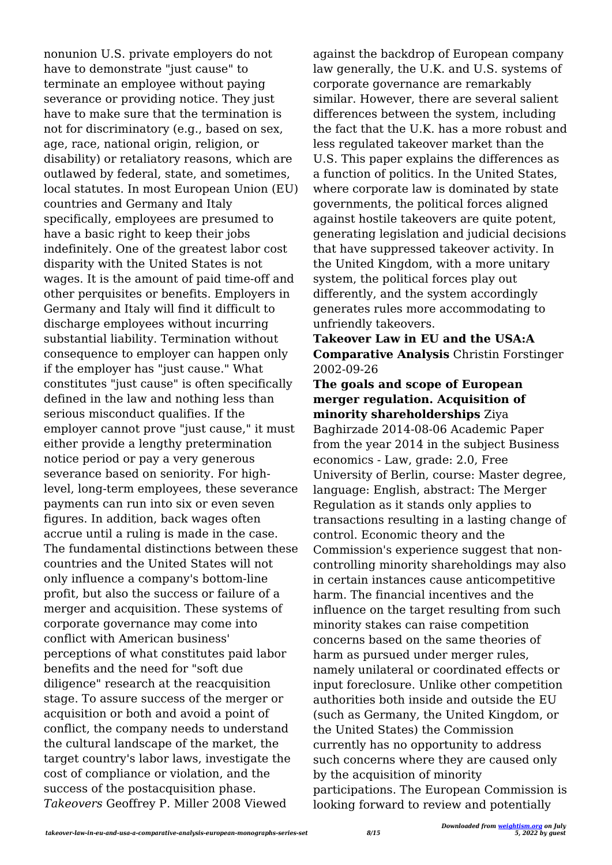nonunion U.S. private employers do not have to demonstrate "just cause" to terminate an employee without paying severance or providing notice. They just have to make sure that the termination is not for discriminatory (e.g., based on sex, age, race, national origin, religion, or disability) or retaliatory reasons, which are outlawed by federal, state, and sometimes, local statutes. In most European Union (EU) countries and Germany and Italy specifically, employees are presumed to have a basic right to keep their jobs indefinitely. One of the greatest labor cost disparity with the United States is not wages. It is the amount of paid time-off and other perquisites or benefits. Employers in Germany and Italy will find it difficult to discharge employees without incurring substantial liability. Termination without consequence to employer can happen only if the employer has "just cause." What constitutes "just cause" is often specifically defined in the law and nothing less than serious misconduct qualifies. If the employer cannot prove "just cause," it must either provide a lengthy pretermination notice period or pay a very generous severance based on seniority. For highlevel, long-term employees, these severance payments can run into six or even seven figures. In addition, back wages often accrue until a ruling is made in the case. The fundamental distinctions between these countries and the United States will not only influence a company's bottom-line profit, but also the success or failure of a merger and acquisition. These systems of corporate governance may come into conflict with American business' perceptions of what constitutes paid labor benefits and the need for "soft due diligence" research at the reacquisition stage. To assure success of the merger or acquisition or both and avoid a point of conflict, the company needs to understand the cultural landscape of the market, the target country's labor laws, investigate the cost of compliance or violation, and the success of the postacquisition phase. *Takeovers* Geoffrey P. Miller 2008 Viewed

against the backdrop of European company law generally, the U.K. and U.S. systems of corporate governance are remarkably similar. However, there are several salient differences between the system, including the fact that the U.K. has a more robust and less regulated takeover market than the U.S. This paper explains the differences as a function of politics. In the United States, where corporate law is dominated by state governments, the political forces aligned against hostile takeovers are quite potent, generating legislation and judicial decisions that have suppressed takeover activity. In the United Kingdom, with a more unitary system, the political forces play out differently, and the system accordingly generates rules more accommodating to unfriendly takeovers.

**Takeover Law in EU and the USA:A Comparative Analysis** Christin Forstinger 2002-09-26

**The goals and scope of European merger regulation. Acquisition of minority shareholderships** Ziya Baghirzade 2014-08-06 Academic Paper from the year 2014 in the subject Business economics - Law, grade: 2.0, Free University of Berlin, course: Master degree, language: English, abstract: The Merger Regulation as it stands only applies to transactions resulting in a lasting change of control. Economic theory and the Commission's experience suggest that noncontrolling minority shareholdings may also in certain instances cause anticompetitive harm. The financial incentives and the influence on the target resulting from such minority stakes can raise competition concerns based on the same theories of harm as pursued under merger rules, namely unilateral or coordinated effects or input foreclosure. Unlike other competition authorities both inside and outside the EU (such as Germany, the United Kingdom, or the United States) the Commission currently has no opportunity to address such concerns where they are caused only by the acquisition of minority participations. The European Commission is looking forward to review and potentially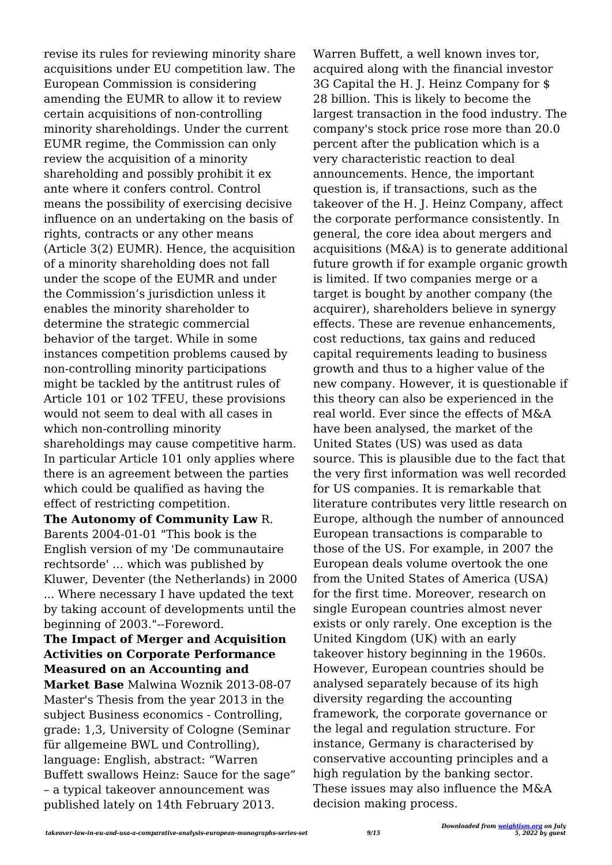revise its rules for reviewing minority share acquisitions under EU competition law. The European Commission is considering amending the EUMR to allow it to review certain acquisitions of non‐controlling minority shareholdings. Under the current EUMR regime, the Commission can only review the acquisition of a minority shareholding and possibly prohibit it ex ante where it confers control. Control means the possibility of exercising decisive influence on an undertaking on the basis of rights, contracts or any other means (Article 3(2) EUMR). Hence, the acquisition of a minority shareholding does not fall under the scope of the EUMR and under the Commission's jurisdiction unless it enables the minority shareholder to determine the strategic commercial behavior of the target. While in some instances competition problems caused by non-controlling minority participations might be tackled by the antitrust rules of Article 101 or 102 TFEU, these provisions would not seem to deal with all cases in which non-controlling minority shareholdings may cause competitive harm. In particular Article 101 only applies where there is an agreement between the parties which could be qualified as having the effect of restricting competition.

**The Autonomy of Community Law** R. Barents 2004-01-01 "This book is the English version of my 'De communautaire rechtsorde' ... which was published by Kluwer, Deventer (the Netherlands) in 2000 ... Where necessary I have updated the text by taking account of developments until the beginning of 2003."--Foreword.

#### **The Impact of Merger and Acquisition Activities on Corporate Performance Measured on an Accounting and**

**Market Base** Malwina Woznik 2013-08-07 Master's Thesis from the year 2013 in the subject Business economics - Controlling, grade: 1,3, University of Cologne (Seminar für allgemeine BWL und Controlling), language: English, abstract: "Warren Buffett swallows Heinz: Sauce for the sage" – a typical takeover announcement was published lately on 14th February 2013.

Warren Buffett, a well known inves tor, acquired along with the financial investor 3G Capital the H. J. Heinz Company for \$ 28 billion. This is likely to become the largest transaction in the food industry. The company's stock price rose more than 20.0 percent after the publication which is a very characteristic reaction to deal announcements. Hence, the important question is, if transactions, such as the takeover of the H. J. Heinz Company, affect the corporate performance consistently. In general, the core idea about mergers and acquisitions (M&A) is to generate additional future growth if for example organic growth is limited. If two companies merge or a target is bought by another company (the acquirer), shareholders believe in synergy effects. These are revenue enhancements, cost reductions, tax gains and reduced capital requirements leading to business growth and thus to a higher value of the new company. However, it is questionable if this theory can also be experienced in the real world. Ever since the effects of M&A have been analysed, the market of the United States (US) was used as data source. This is plausible due to the fact that the very first information was well recorded for US companies. It is remarkable that literature contributes very little research on Europe, although the number of announced European transactions is comparable to those of the US. For example, in 2007 the European deals volume overtook the one from the United States of America (USA) for the first time. Moreover, research on single European countries almost never exists or only rarely. One exception is the United Kingdom (UK) with an early takeover history beginning in the 1960s. However, European countries should be analysed separately because of its high diversity regarding the accounting framework, the corporate governance or the legal and regulation structure. For instance, Germany is characterised by conservative accounting principles and a high regulation by the banking sector. These issues may also influence the M&A decision making process.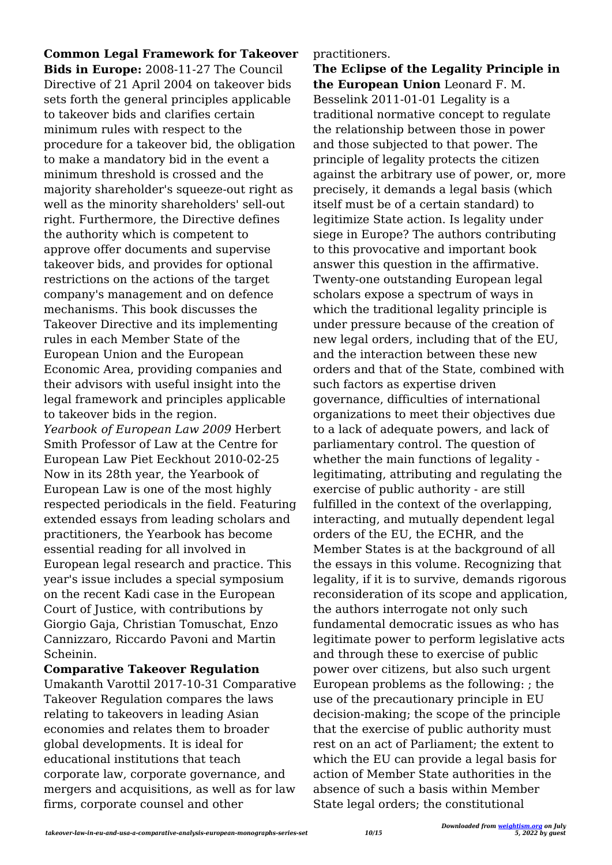**Common Legal Framework for Takeover Bids in Europe:** 2008-11-27 The Council Directive of 21 April 2004 on takeover bids sets forth the general principles applicable to takeover bids and clarifies certain minimum rules with respect to the procedure for a takeover bid, the obligation to make a mandatory bid in the event a minimum threshold is crossed and the majority shareholder's squeeze-out right as well as the minority shareholders' sell-out right. Furthermore, the Directive defines the authority which is competent to approve offer documents and supervise takeover bids, and provides for optional restrictions on the actions of the target company's management and on defence mechanisms. This book discusses the Takeover Directive and its implementing rules in each Member State of the European Union and the European Economic Area, providing companies and their advisors with useful insight into the legal framework and principles applicable to takeover bids in the region. *Yearbook of European Law 2009* Herbert Smith Professor of Law at the Centre for European Law Piet Eeckhout 2010-02-25 Now in its 28th year, the Yearbook of European Law is one of the most highly respected periodicals in the field. Featuring extended essays from leading scholars and practitioners, the Yearbook has become essential reading for all involved in European legal research and practice. This year's issue includes a special symposium on the recent Kadi case in the European Court of Justice, with contributions by Giorgio Gaja, Christian Tomuschat, Enzo Cannizzaro, Riccardo Pavoni and Martin Scheinin.

**Comparative Takeover Regulation**

Umakanth Varottil 2017-10-31 Comparative Takeover Regulation compares the laws relating to takeovers in leading Asian economies and relates them to broader global developments. It is ideal for educational institutions that teach corporate law, corporate governance, and mergers and acquisitions, as well as for law firms, corporate counsel and other

practitioners.

**The Eclipse of the Legality Principle in the European Union** Leonard F. M. Besselink 2011-01-01 Legality is a traditional normative concept to regulate the relationship between those in power and those subjected to that power. The principle of legality protects the citizen against the arbitrary use of power, or, more precisely, it demands a legal basis (which itself must be of a certain standard) to legitimize State action. Is legality under siege in Europe? The authors contributing to this provocative and important book answer this question in the affirmative. Twenty-one outstanding European legal scholars expose a spectrum of ways in which the traditional legality principle is under pressure because of the creation of new legal orders, including that of the EU, and the interaction between these new orders and that of the State, combined with such factors as expertise driven governance, difficulties of international organizations to meet their objectives due to a lack of adequate powers, and lack of parliamentary control. The question of whether the main functions of legality legitimating, attributing and regulating the exercise of public authority - are still fulfilled in the context of the overlapping, interacting, and mutually dependent legal orders of the EU, the ECHR, and the Member States is at the background of all the essays in this volume. Recognizing that legality, if it is to survive, demands rigorous reconsideration of its scope and application, the authors interrogate not only such fundamental democratic issues as who has legitimate power to perform legislative acts and through these to exercise of public power over citizens, but also such urgent European problems as the following: ; the use of the precautionary principle in EU decision-making; the scope of the principle that the exercise of public authority must rest on an act of Parliament; the extent to which the EU can provide a legal basis for action of Member State authorities in the absence of such a basis within Member State legal orders; the constitutional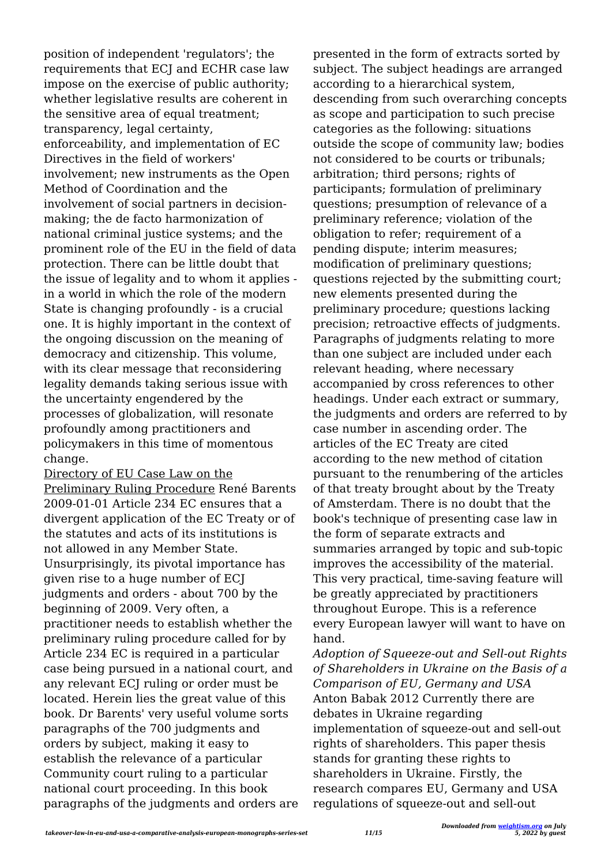position of independent 'regulators'; the requirements that ECJ and ECHR case law impose on the exercise of public authority; whether legislative results are coherent in the sensitive area of equal treatment; transparency, legal certainty, enforceability, and implementation of EC Directives in the field of workers' involvement; new instruments as the Open Method of Coordination and the involvement of social partners in decisionmaking; the de facto harmonization of national criminal justice systems; and the prominent role of the EU in the field of data protection. There can be little doubt that the issue of legality and to whom it applies in a world in which the role of the modern State is changing profoundly - is a crucial one. It is highly important in the context of the ongoing discussion on the meaning of democracy and citizenship. This volume, with its clear message that reconsidering legality demands taking serious issue with the uncertainty engendered by the processes of globalization, will resonate profoundly among practitioners and policymakers in this time of momentous change.

Directory of EU Case Law on the Preliminary Ruling Procedure René Barents 2009-01-01 Article 234 EC ensures that a divergent application of the EC Treaty or of the statutes and acts of its institutions is not allowed in any Member State. Unsurprisingly, its pivotal importance has given rise to a huge number of ECJ judgments and orders - about 700 by the beginning of 2009. Very often, a practitioner needs to establish whether the preliminary ruling procedure called for by Article 234 EC is required in a particular case being pursued in a national court, and any relevant ECJ ruling or order must be located. Herein lies the great value of this book. Dr Barents' very useful volume sorts paragraphs of the 700 judgments and orders by subject, making it easy to establish the relevance of a particular Community court ruling to a particular national court proceeding. In this book paragraphs of the judgments and orders are presented in the form of extracts sorted by subject. The subject headings are arranged according to a hierarchical system, descending from such overarching concepts as scope and participation to such precise categories as the following: situations outside the scope of community law; bodies not considered to be courts or tribunals; arbitration; third persons; rights of participants; formulation of preliminary questions; presumption of relevance of a preliminary reference; violation of the obligation to refer; requirement of a pending dispute; interim measures; modification of preliminary questions; questions rejected by the submitting court; new elements presented during the preliminary procedure; questions lacking precision; retroactive effects of judgments. Paragraphs of judgments relating to more than one subject are included under each relevant heading, where necessary accompanied by cross references to other headings. Under each extract or summary, the judgments and orders are referred to by case number in ascending order. The articles of the EC Treaty are cited according to the new method of citation pursuant to the renumbering of the articles of that treaty brought about by the Treaty of Amsterdam. There is no doubt that the book's technique of presenting case law in the form of separate extracts and summaries arranged by topic and sub-topic improves the accessibility of the material. This very practical, time-saving feature will be greatly appreciated by practitioners throughout Europe. This is a reference every European lawyer will want to have on hand.

*Adoption of Squeeze-out and Sell-out Rights of Shareholders in Ukraine on the Basis of a Comparison of EU, Germany and USA* Anton Babak 2012 Currently there are debates in Ukraine regarding implementation of squeeze-out and sell-out rights of shareholders. This paper thesis stands for granting these rights to shareholders in Ukraine. Firstly, the research compares EU, Germany and USA regulations of squeeze-out and sell-out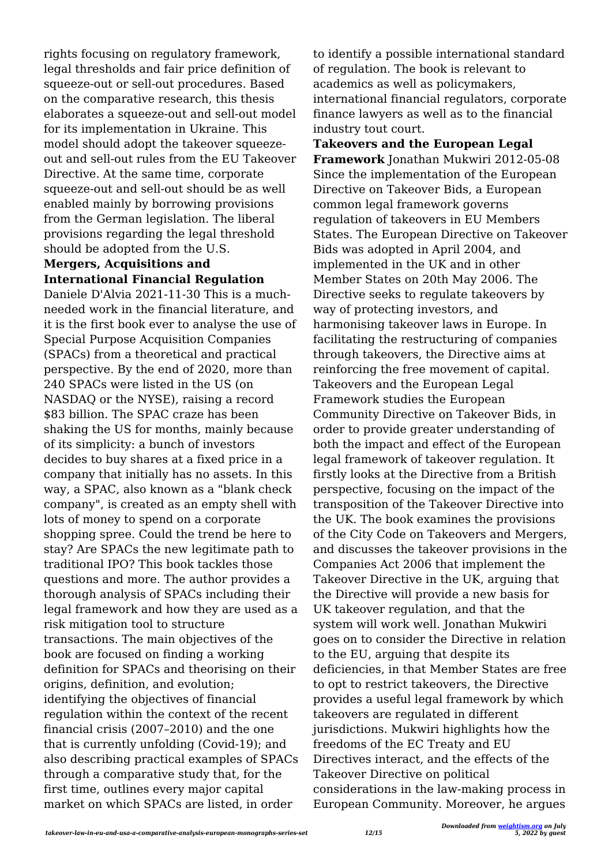rights focusing on regulatory framework, legal thresholds and fair price definition of squeeze-out or sell-out procedures. Based on the comparative research, this thesis elaborates a squeeze-out and sell-out model for its implementation in Ukraine. This model should adopt the takeover squeezeout and sell-out rules from the EU Takeover Directive. At the same time, corporate squeeze-out and sell-out should be as well enabled mainly by borrowing provisions from the German legislation. The liberal provisions regarding the legal threshold should be adopted from the U.S.

#### **Mergers, Acquisitions and International Financial Regulation**

Daniele D'Alvia 2021-11-30 This is a muchneeded work in the financial literature, and it is the first book ever to analyse the use of Special Purpose Acquisition Companies (SPACs) from a theoretical and practical perspective. By the end of 2020, more than 240 SPACs were listed in the US (on NASDAQ or the NYSE), raising a record \$83 billion. The SPAC craze has been shaking the US for months, mainly because of its simplicity: a bunch of investors decides to buy shares at a fixed price in a company that initially has no assets. In this way, a SPAC, also known as a "blank check company", is created as an empty shell with lots of money to spend on a corporate shopping spree. Could the trend be here to stay? Are SPACs the new legitimate path to traditional IPO? This book tackles those questions and more. The author provides a thorough analysis of SPACs including their legal framework and how they are used as a risk mitigation tool to structure transactions. The main objectives of the book are focused on finding a working definition for SPACs and theorising on their origins, definition, and evolution; identifying the objectives of financial regulation within the context of the recent financial crisis (2007–2010) and the one that is currently unfolding (Covid-19); and also describing practical examples of SPACs through a comparative study that, for the first time, outlines every major capital market on which SPACs are listed, in order

to identify a possible international standard of regulation. The book is relevant to academics as well as policymakers, international financial regulators, corporate finance lawyers as well as to the financial industry tout court.

**Takeovers and the European Legal Framework** Jonathan Mukwiri 2012-05-08 Since the implementation of the European Directive on Takeover Bids, a European common legal framework governs regulation of takeovers in EU Members States. The European Directive on Takeover Bids was adopted in April 2004, and implemented in the UK and in other Member States on 20th May 2006. The Directive seeks to regulate takeovers by way of protecting investors, and harmonising takeover laws in Europe. In facilitating the restructuring of companies through takeovers, the Directive aims at reinforcing the free movement of capital. Takeovers and the European Legal Framework studies the European Community Directive on Takeover Bids, in order to provide greater understanding of both the impact and effect of the European legal framework of takeover regulation. It firstly looks at the Directive from a British perspective, focusing on the impact of the transposition of the Takeover Directive into the UK. The book examines the provisions of the City Code on Takeovers and Mergers, and discusses the takeover provisions in the Companies Act 2006 that implement the Takeover Directive in the UK, arguing that the Directive will provide a new basis for UK takeover regulation, and that the system will work well. Jonathan Mukwiri goes on to consider the Directive in relation to the EU, arguing that despite its deficiencies, in that Member States are free to opt to restrict takeovers, the Directive provides a useful legal framework by which takeovers are regulated in different jurisdictions. Mukwiri highlights how the freedoms of the EC Treaty and EU Directives interact, and the effects of the Takeover Directive on political considerations in the law-making process in European Community. Moreover, he argues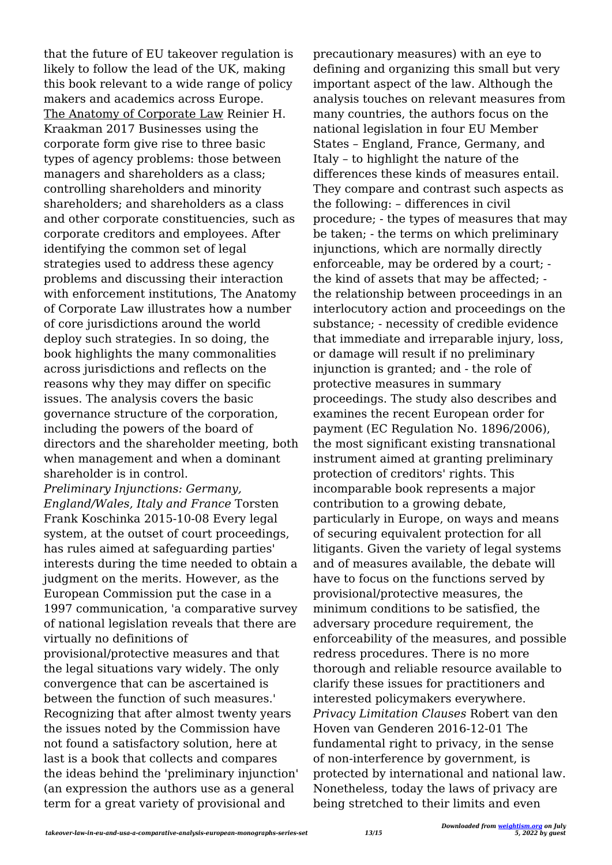that the future of EU takeover regulation is likely to follow the lead of the UK, making this book relevant to a wide range of policy makers and academics across Europe. The Anatomy of Corporate Law Reinier H. Kraakman 2017 Businesses using the corporate form give rise to three basic types of agency problems: those between managers and shareholders as a class; controlling shareholders and minority shareholders; and shareholders as a class and other corporate constituencies, such as corporate creditors and employees. After identifying the common set of legal strategies used to address these agency problems and discussing their interaction with enforcement institutions, The Anatomy of Corporate Law illustrates how a number of core jurisdictions around the world deploy such strategies. In so doing, the book highlights the many commonalities across jurisdictions and reflects on the reasons why they may differ on specific issues. The analysis covers the basic governance structure of the corporation, including the powers of the board of directors and the shareholder meeting, both when management and when a dominant shareholder is in control.

*Preliminary Injunctions: Germany, England/Wales, Italy and France* Torsten Frank Koschinka 2015-10-08 Every legal system, at the outset of court proceedings, has rules aimed at safeguarding parties' interests during the time needed to obtain a judgment on the merits. However, as the European Commission put the case in a 1997 communication, 'a comparative survey of national legislation reveals that there are virtually no definitions of provisional/protective measures and that the legal situations vary widely. The only convergence that can be ascertained is between the function of such measures.' Recognizing that after almost twenty years the issues noted by the Commission have not found a satisfactory solution, here at last is a book that collects and compares the ideas behind the 'preliminary injunction' (an expression the authors use as a general term for a great variety of provisional and

precautionary measures) with an eye to defining and organizing this small but very important aspect of the law. Although the analysis touches on relevant measures from many countries, the authors focus on the national legislation in four EU Member States – England, France, Germany, and Italy – to highlight the nature of the differences these kinds of measures entail. They compare and contrast such aspects as the following: – differences in civil procedure; - the types of measures that may be taken; - the terms on which preliminary injunctions, which are normally directly enforceable, may be ordered by a court; the kind of assets that may be affected; the relationship between proceedings in an interlocutory action and proceedings on the substance; - necessity of credible evidence that immediate and irreparable injury, loss, or damage will result if no preliminary injunction is granted; and - the role of protective measures in summary proceedings. The study also describes and examines the recent European order for payment (EC Regulation No. 1896/2006), the most significant existing transnational instrument aimed at granting preliminary protection of creditors' rights. This incomparable book represents a major contribution to a growing debate, particularly in Europe, on ways and means of securing equivalent protection for all litigants. Given the variety of legal systems and of measures available, the debate will have to focus on the functions served by provisional/protective measures, the minimum conditions to be satisfied, the adversary procedure requirement, the enforceability of the measures, and possible redress procedures. There is no more thorough and reliable resource available to clarify these issues for practitioners and interested policymakers everywhere. *Privacy Limitation Clauses* Robert van den Hoven van Genderen 2016-12-01 The fundamental right to privacy, in the sense of non-interference by government, is protected by international and national law. Nonetheless, today the laws of privacy are being stretched to their limits and even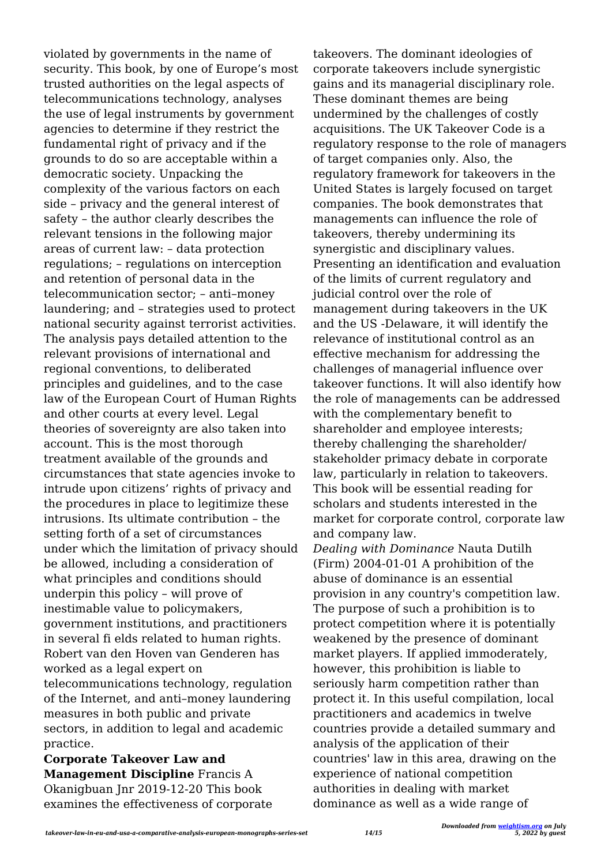violated by governments in the name of security. This book, by one of Europe's most trusted authorities on the legal aspects of telecommunications technology, analyses the use of legal instruments by government agencies to determine if they restrict the fundamental right of privacy and if the grounds to do so are acceptable within a democratic society. Unpacking the complexity of the various factors on each side – privacy and the general interest of safety – the author clearly describes the relevant tensions in the following major areas of current law: – data protection regulations; – regulations on interception and retention of personal data in the telecommunication sector; – anti–money laundering; and – strategies used to protect national security against terrorist activities. The analysis pays detailed attention to the relevant provisions of international and regional conventions, to deliberated principles and guidelines, and to the case law of the European Court of Human Rights and other courts at every level. Legal theories of sovereignty are also taken into account. This is the most thorough treatment available of the grounds and circumstances that state agencies invoke to intrude upon citizens' rights of privacy and the procedures in place to legitimize these intrusions. Its ultimate contribution – the setting forth of a set of circumstances under which the limitation of privacy should be allowed, including a consideration of what principles and conditions should underpin this policy – will prove of inestimable value to policymakers, government institutions, and practitioners in several fi elds related to human rights. Robert van den Hoven van Genderen has worked as a legal expert on telecommunications technology, regulation of the Internet, and anti–money laundering measures in both public and private sectors, in addition to legal and academic practice.

**Corporate Takeover Law and Management Discipline** Francis A Okanigbuan Jnr 2019-12-20 This book examines the effectiveness of corporate takeovers. The dominant ideologies of corporate takeovers include synergistic gains and its managerial disciplinary role. These dominant themes are being undermined by the challenges of costly acquisitions. The UK Takeover Code is a regulatory response to the role of managers of target companies only. Also, the regulatory framework for takeovers in the United States is largely focused on target companies. The book demonstrates that managements can influence the role of takeovers, thereby undermining its synergistic and disciplinary values. Presenting an identification and evaluation of the limits of current regulatory and judicial control over the role of management during takeovers in the UK and the US -Delaware, it will identify the relevance of institutional control as an effective mechanism for addressing the challenges of managerial influence over takeover functions. It will also identify how the role of managements can be addressed with the complementary benefit to shareholder and employee interests; thereby challenging the shareholder/ stakeholder primacy debate in corporate law, particularly in relation to takeovers. This book will be essential reading for scholars and students interested in the market for corporate control, corporate law and company law.

*Dealing with Dominance* Nauta Dutilh (Firm) 2004-01-01 A prohibition of the abuse of dominance is an essential provision in any country's competition law. The purpose of such a prohibition is to protect competition where it is potentially weakened by the presence of dominant market players. If applied immoderately, however, this prohibition is liable to seriously harm competition rather than protect it. In this useful compilation, local practitioners and academics in twelve countries provide a detailed summary and analysis of the application of their countries' law in this area, drawing on the experience of national competition authorities in dealing with market dominance as well as a wide range of